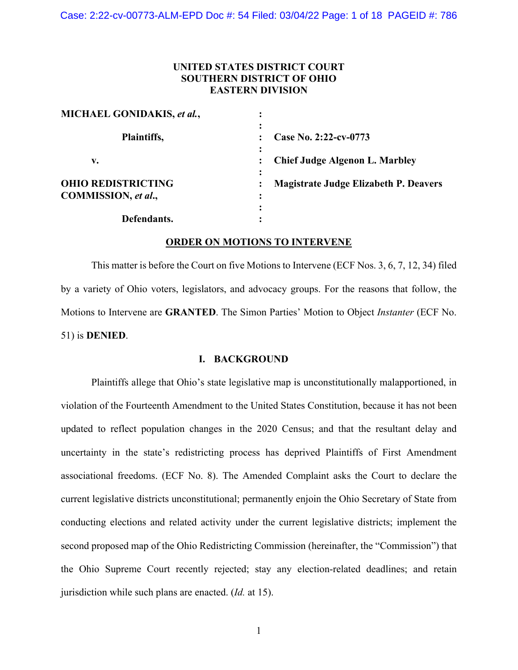# **UNITED STATES DISTRICT COURT SOUTHERN DISTRICT OF OHIO EASTERN DIVISION**

| MICHAEL GONIDAKIS, et al., | ٠                                            |
|----------------------------|----------------------------------------------|
| Plaintiffs,                | ٠<br>Case No. 2:22-cv-0773                   |
| v.                         | <b>Chief Judge Algenon L. Marbley</b>        |
| <b>OHIO REDISTRICTING</b>  | <b>Magistrate Judge Elizabeth P. Deavers</b> |
| COMMISSION, et al.,        | ٠                                            |
| Defendants.                |                                              |

## **ORDER ON MOTIONS TO INTERVENE**

This matter is before the Court on five Motions to Intervene (ECF Nos. 3, 6, 7, 12, 34) filed by a variety of Ohio voters, legislators, and advocacy groups. For the reasons that follow, the Motions to Intervene are **GRANTED**. The Simon Parties' Motion to Object *Instanter* (ECF No. 51) is **DENIED**.

# **I. BACKGROUND**

Plaintiffs allege that Ohio's state legislative map is unconstitutionally malapportioned, in violation of the Fourteenth Amendment to the United States Constitution, because it has not been updated to reflect population changes in the 2020 Census; and that the resultant delay and uncertainty in the state's redistricting process has deprived Plaintiffs of First Amendment associational freedoms. (ECF No. 8). The Amended Complaint asks the Court to declare the current legislative districts unconstitutional; permanently enjoin the Ohio Secretary of State from conducting elections and related activity under the current legislative districts; implement the second proposed map of the Ohio Redistricting Commission (hereinafter, the "Commission") that the Ohio Supreme Court recently rejected; stay any election-related deadlines; and retain jurisdiction while such plans are enacted. (*Id.* at 15).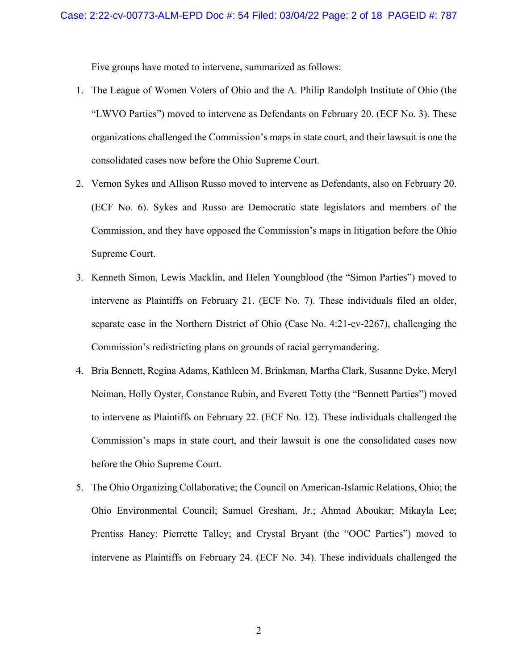Five groups have moted to intervene, summarized as follows:

- 1. The League of Women Voters of Ohio and the A. Philip Randolph Institute of Ohio (the "LWVO Parties") moved to intervene as Defendants on February 20. (ECF No. 3). These organizations challenged the Commission's maps in state court, and their lawsuit is one the consolidated cases now before the Ohio Supreme Court.
- 2. Vernon Sykes and Allison Russo moved to intervene as Defendants, also on February 20. (ECF No. 6). Sykes and Russo are Democratic state legislators and members of the Commission, and they have opposed the Commission's maps in litigation before the Ohio Supreme Court.
- 3. Kenneth Simon, Lewis Macklin, and Helen Youngblood (the "Simon Parties") moved to intervene as Plaintiffs on February 21. (ECF No. 7). These individuals filed an older, separate case in the Northern District of Ohio (Case No. 4:21-cv-2267), challenging the Commission's redistricting plans on grounds of racial gerrymandering.
- 4. Bria Bennett, Regina Adams, Kathleen M. Brinkman, Martha Clark, Susanne Dyke, Meryl Neiman, Holly Oyster, Constance Rubin, and Everett Totty (the "Bennett Parties") moved to intervene as Plaintiffs on February 22. (ECF No. 12). These individuals challenged the Commission's maps in state court, and their lawsuit is one the consolidated cases now before the Ohio Supreme Court.
- 5. The Ohio Organizing Collaborative; the Council on American-Islamic Relations, Ohio; the Ohio Environmental Council; Samuel Gresham, Jr.; Ahmad Aboukar; Mikayla Lee; Prentiss Haney; Pierrette Talley; and Crystal Bryant (the "OOC Parties") moved to intervene as Plaintiffs on February 24. (ECF No. 34). These individuals challenged the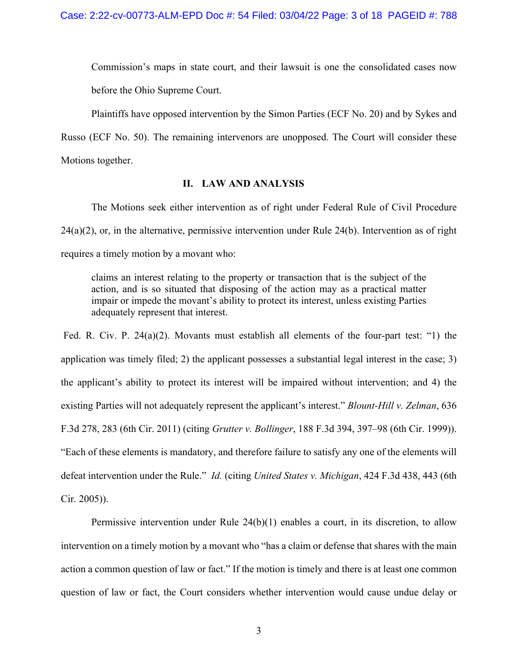Commission's maps in state court, and their lawsuit is one the consolidated cases now before the Ohio Supreme Court.

Plaintiffs have opposed intervention by the Simon Parties (ECF No. 20) and by Sykes and

Russo (ECF No. 50). The remaining intervenors are unopposed. The Court will consider these Motions together.

## **II. LAW AND ANALYSIS**

The Motions seek either intervention as of right under Federal Rule of Civil Procedure  $24(a)(2)$ , or, in the alternative, permissive intervention under Rule  $24(b)$ . Intervention as of right requires a timely motion by a movant who:

claims an interest relating to the property or transaction that is the subject of the action, and is so situated that disposing of the action may as a practical matter impair or impede the movant's ability to protect its interest, unless existing Parties adequately represent that interest.

 Fed. R. Civ. P. 24(a)(2). Movants must establish all elements of the four-part test: "1) the application was timely filed; 2) the applicant possesses a substantial legal interest in the case; 3) the applicant's ability to protect its interest will be impaired without intervention; and 4) the existing Parties will not adequately represent the applicant's interest." *Blount-Hill v. Zelman*, 636 F.3d 278, 283 (6th Cir. 2011) (citing *Grutter v. Bollinger*, 188 F.3d 394, 397–98 (6th Cir. 1999)). "Each of these elements is mandatory, and therefore failure to satisfy any one of the elements will defeat intervention under the Rule." *Id.* (citing *United States v. Michigan*, 424 F.3d 438, 443 (6th Cir. 2005)).

Permissive intervention under Rule 24(b)(1) enables a court, in its discretion, to allow intervention on a timely motion by a movant who "has a claim or defense that shares with the main action a common question of law or fact." If the motion is timely and there is at least one common question of law or fact, the Court considers whether intervention would cause undue delay or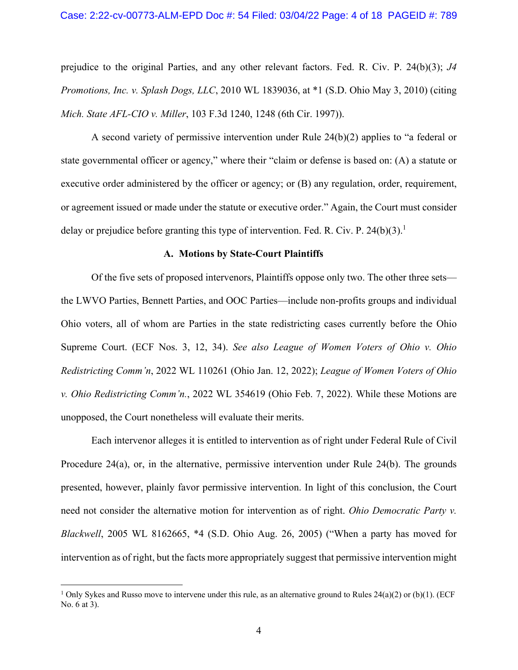prejudice to the original Parties, and any other relevant factors. Fed. R. Civ. P. 24(b)(3); *J4 Promotions, Inc. v. Splash Dogs, LLC*, 2010 WL 1839036, at \*1 (S.D. Ohio May 3, 2010) (citing *Mich. State AFL-CIO v. Miller*, 103 F.3d 1240, 1248 (6th Cir. 1997)).

A second variety of permissive intervention under Rule 24(b)(2) applies to "a federal or state governmental officer or agency," where their "claim or defense is based on: (A) a statute or executive order administered by the officer or agency; or (B) any regulation, order, requirement, or agreement issued or made under the statute or executive order." Again, the Court must consider delay or prejudice before granting this type of intervention. Fed. R. Civ. P. 24(b)(3).<sup>1</sup>

### **A. Motions by State-Court Plaintiffs**

Of the five sets of proposed intervenors, Plaintiffs oppose only two. The other three sets the LWVO Parties, Bennett Parties, and OOC Parties—include non-profits groups and individual Ohio voters, all of whom are Parties in the state redistricting cases currently before the Ohio Supreme Court. (ECF Nos. 3, 12, 34). *See also League of Women Voters of Ohio v. Ohio Redistricting Comm'n*, 2022 WL 110261 (Ohio Jan. 12, 2022); *League of Women Voters of Ohio v. Ohio Redistricting Comm'n.*, 2022 WL 354619 (Ohio Feb. 7, 2022). While these Motions are unopposed, the Court nonetheless will evaluate their merits.

 Each intervenor alleges it is entitled to intervention as of right under Federal Rule of Civil Procedure 24(a), or, in the alternative, permissive intervention under Rule 24(b). The grounds presented, however, plainly favor permissive intervention. In light of this conclusion, the Court need not consider the alternative motion for intervention as of right. *Ohio Democratic Party v. Blackwell*, 2005 WL 8162665, \*4 (S.D. Ohio Aug. 26, 2005) ("When a party has moved for intervention as of right, but the facts more appropriately suggest that permissive intervention might

<sup>&</sup>lt;sup>1</sup> Only Sykes and Russo move to intervene under this rule, as an alternative ground to Rules  $24(a)(2)$  or (b)(1). (ECF No. 6 at 3).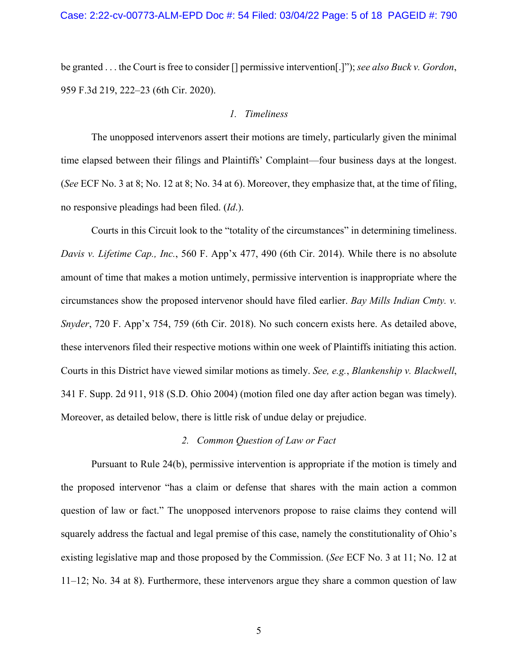be granted . . . the Court is free to consider [] permissive intervention[.]"); *see also Buck v. Gordon*, 959 F.3d 219, 222–23 (6th Cir. 2020).

### *1. Timeliness*

The unopposed intervenors assert their motions are timely, particularly given the minimal time elapsed between their filings and Plaintiffs' Complaint––four business days at the longest. (*See* ECF No. 3 at 8; No. 12 at 8; No. 34 at 6). Moreover, they emphasize that, at the time of filing, no responsive pleadings had been filed. (*Id*.).

 Courts in this Circuit look to the "totality of the circumstances" in determining timeliness. *Davis v. Lifetime Cap., Inc.*, 560 F. App'x 477, 490 (6th Cir. 2014). While there is no absolute amount of time that makes a motion untimely, permissive intervention is inappropriate where the circumstances show the proposed intervenor should have filed earlier. *Bay Mills Indian Cmty. v. Snyder*, 720 F. App'x 754, 759 (6th Cir. 2018). No such concern exists here. As detailed above, these intervenors filed their respective motions within one week of Plaintiffs initiating this action. Courts in this District have viewed similar motions as timely. *See, e.g.*, *Blankenship v. Blackwell*, 341 F. Supp. 2d 911, 918 (S.D. Ohio 2004) (motion filed one day after action began was timely). Moreover, as detailed below, there is little risk of undue delay or prejudice.

#### *2. Common Question of Law or Fact*

 Pursuant to Rule 24(b), permissive intervention is appropriate if the motion is timely and the proposed intervenor "has a claim or defense that shares with the main action a common question of law or fact." The unopposed intervenors propose to raise claims they contend will squarely address the factual and legal premise of this case, namely the constitutionality of Ohio's existing legislative map and those proposed by the Commission. (*See* ECF No. 3 at 11; No. 12 at 11–12; No. 34 at 8). Furthermore, these intervenors argue they share a common question of law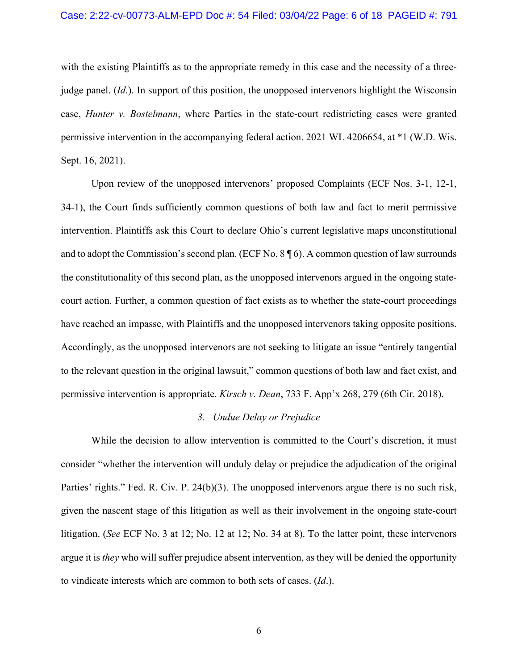#### Case: 2:22-cv-00773-ALM-EPD Doc #: 54 Filed: 03/04/22 Page: 6 of 18 PAGEID #: 791

with the existing Plaintiffs as to the appropriate remedy in this case and the necessity of a threejudge panel. (*Id*.). In support of this position, the unopposed intervenors highlight the Wisconsin case, *Hunter v. Bostelmann*, where Parties in the state-court redistricting cases were granted permissive intervention in the accompanying federal action. 2021 WL 4206654, at \*1 (W.D. Wis. Sept. 16, 2021).

 Upon review of the unopposed intervenors' proposed Complaints (ECF Nos. 3-1, 12-1, 34-1), the Court finds sufficiently common questions of both law and fact to merit permissive intervention. Plaintiffs ask this Court to declare Ohio's current legislative maps unconstitutional and to adopt the Commission's second plan. (ECF No. 8 ¶ 6). A common question of law surrounds the constitutionality of this second plan, as the unopposed intervenors argued in the ongoing statecourt action. Further, a common question of fact exists as to whether the state-court proceedings have reached an impasse, with Plaintiffs and the unopposed intervenors taking opposite positions. Accordingly, as the unopposed intervenors are not seeking to litigate an issue "entirely tangential to the relevant question in the original lawsuit," common questions of both law and fact exist, and permissive intervention is appropriate. *Kirsch v. Dean*, 733 F. App'x 268, 279 (6th Cir. 2018).

### *3. Undue Delay or Prejudice*

 While the decision to allow intervention is committed to the Court's discretion, it must consider "whether the intervention will unduly delay or prejudice the adjudication of the original Parties' rights." Fed. R. Civ. P. 24(b)(3). The unopposed intervenors argue there is no such risk, given the nascent stage of this litigation as well as their involvement in the ongoing state-court litigation. (*See* ECF No. 3 at 12; No. 12 at 12; No. 34 at 8). To the latter point, these intervenors argue it is *they* who will suffer prejudice absent intervention, as they will be denied the opportunity to vindicate interests which are common to both sets of cases. (*Id*.).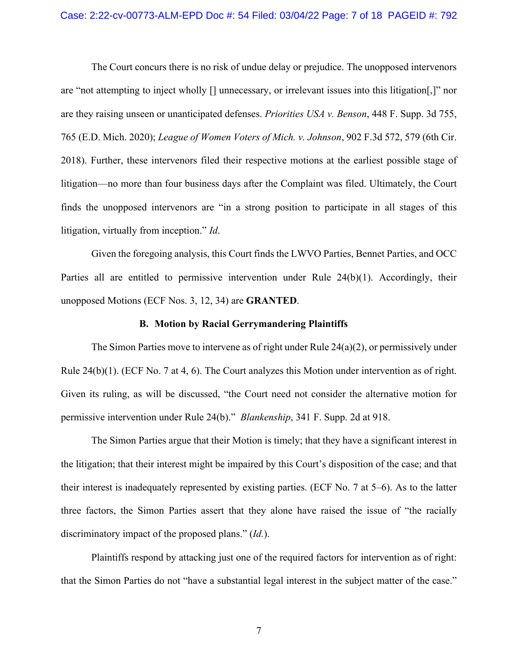The Court concurs there is no risk of undue delay or prejudice. The unopposed intervenors are "not attempting to inject wholly [] unnecessary, or irrelevant issues into this litigation[,]" nor are they raising unseen or unanticipated defenses. *Priorities USA v. Benson*, 448 F. Supp. 3d 755, 765 (E.D. Mich. 2020); *League of Women Voters of Mich. v. Johnson*, 902 F.3d 572, 579 (6th Cir. 2018). Further, these intervenors filed their respective motions at the earliest possible stage of litigation––no more than four business days after the Complaint was filed. Ultimately, the Court finds the unopposed intervenors are "in a strong position to participate in all stages of this litigation, virtually from inception." *Id*.

 Given the foregoing analysis, this Court finds the LWVO Parties, Bennet Parties, and OCC Parties all are entitled to permissive intervention under Rule 24(b)(1). Accordingly, their unopposed Motions (ECF Nos. 3, 12, 34) are **GRANTED**.

#### **B. Motion by Racial Gerrymandering Plaintiffs**

The Simon Parties move to intervene as of right under Rule  $24(a)(2)$ , or permissively under Rule  $24(b)(1)$ . (ECF No. 7 at 4, 6). The Court analyzes this Motion under intervention as of right. Given its ruling, as will be discussed, "the Court need not consider the alternative motion for permissive intervention under Rule 24(b)." *Blankenship*, 341 F. Supp. 2d at 918.

The Simon Parties argue that their Motion is timely; that they have a significant interest in the litigation; that their interest might be impaired by this Court's disposition of the case; and that their interest is inadequately represented by existing parties. (ECF No. 7 at 5–6). As to the latter three factors, the Simon Parties assert that they alone have raised the issue of "the racially discriminatory impact of the proposed plans." (*Id.*).

Plaintiffs respond by attacking just one of the required factors for intervention as of right: that the Simon Parties do not "have a substantial legal interest in the subject matter of the case."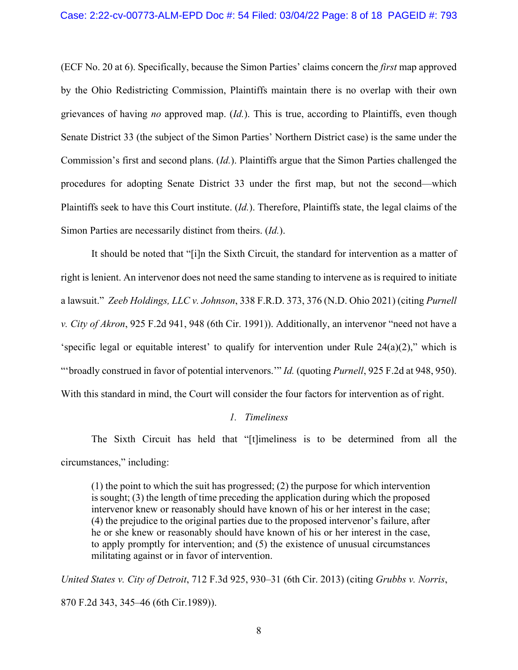(ECF No. 20 at 6). Specifically, because the Simon Parties' claims concern the *first* map approved by the Ohio Redistricting Commission, Plaintiffs maintain there is no overlap with their own grievances of having *no* approved map. (*Id.*). This is true, according to Plaintiffs, even though Senate District 33 (the subject of the Simon Parties' Northern District case) is the same under the Commission's first and second plans. (*Id.*). Plaintiffs argue that the Simon Parties challenged the procedures for adopting Senate District 33 under the first map, but not the second—which Plaintiffs seek to have this Court institute. (*Id.*). Therefore, Plaintiffs state, the legal claims of the Simon Parties are necessarily distinct from theirs. (*Id.*).

It should be noted that "[i]n the Sixth Circuit, the standard for intervention as a matter of right is lenient. An intervenor does not need the same standing to intervene as is required to initiate a lawsuit." *Zeeb Holdings, LLC v. Johnson*, 338 F.R.D. 373, 376 (N.D. Ohio 2021) (citing *Purnell v. City of Akron*, 925 F.2d 941, 948 (6th Cir. 1991)). Additionally, an intervenor "need not have a 'specific legal or equitable interest' to qualify for intervention under Rule 24(a)(2)," which is "'broadly construed in favor of potential intervenors.'" *Id.* (quoting *Purnell*, 925 F.2d at 948, 950). With this standard in mind, the Court will consider the four factors for intervention as of right.

## *1. Timeliness*

The Sixth Circuit has held that "[t]imeliness is to be determined from all the circumstances," including:

(1) the point to which the suit has progressed; (2) the purpose for which intervention is sought; (3) the length of time preceding the application during which the proposed intervenor knew or reasonably should have known of his or her interest in the case; (4) the prejudice to the original parties due to the proposed intervenor's failure, after he or she knew or reasonably should have known of his or her interest in the case, to apply promptly for intervention; and (5) the existence of unusual circumstances militating against or in favor of intervention.

*United States v. City of Detroit*, 712 F.3d 925, 930–31 (6th Cir. 2013) (citing *Grubbs v. Norris*, 870 F.2d 343, 345–46 (6th Cir.1989)).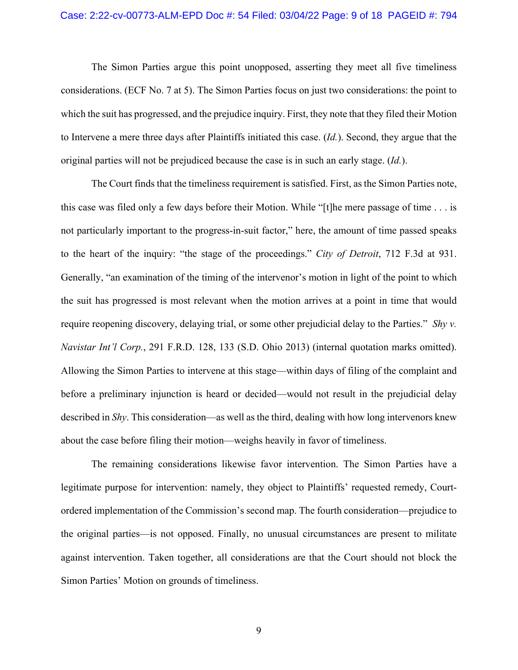## Case: 2:22-cv-00773-ALM-EPD Doc #: 54 Filed: 03/04/22 Page: 9 of 18 PAGEID #: 794

 The Simon Parties argue this point unopposed, asserting they meet all five timeliness considerations. (ECF No. 7 at 5). The Simon Parties focus on just two considerations: the point to which the suit has progressed, and the prejudice inquiry. First, they note that they filed their Motion to Intervene a mere three days after Plaintiffs initiated this case. (*Id.*). Second, they argue that the original parties will not be prejudiced because the case is in such an early stage. (*Id.*).

 The Court finds that the timeliness requirement is satisfied. First, as the Simon Parties note, this case was filed only a few days before their Motion. While "[t]he mere passage of time . . . is not particularly important to the progress-in-suit factor," here, the amount of time passed speaks to the heart of the inquiry: "the stage of the proceedings." *City of Detroit*, 712 F.3d at 931. Generally, "an examination of the timing of the intervenor's motion in light of the point to which the suit has progressed is most relevant when the motion arrives at a point in time that would require reopening discovery, delaying trial, or some other prejudicial delay to the Parties." *Shy v. Navistar Int'l Corp.*, 291 F.R.D. 128, 133 (S.D. Ohio 2013) (internal quotation marks omitted). Allowing the Simon Parties to intervene at this stage—within days of filing of the complaint and before a preliminary injunction is heard or decided—would not result in the prejudicial delay described in *Shy*. This consideration—as well as the third, dealing with how long intervenors knew about the case before filing their motion—weighs heavily in favor of timeliness.

The remaining considerations likewise favor intervention. The Simon Parties have a legitimate purpose for intervention: namely, they object to Plaintiffs' requested remedy, Courtordered implementation of the Commission's second map. The fourth consideration—prejudice to the original parties—is not opposed. Finally, no unusual circumstances are present to militate against intervention. Taken together, all considerations are that the Court should not block the Simon Parties' Motion on grounds of timeliness.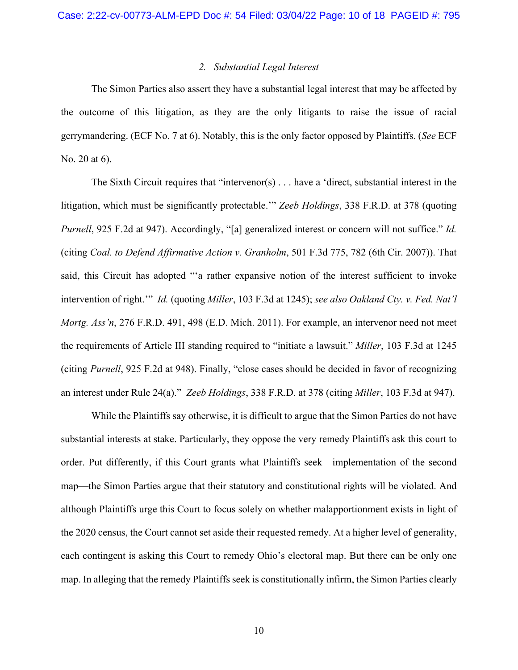## *2. Substantial Legal Interest*

The Simon Parties also assert they have a substantial legal interest that may be affected by the outcome of this litigation, as they are the only litigants to raise the issue of racial gerrymandering. (ECF No. 7 at 6). Notably, this is the only factor opposed by Plaintiffs. (*See* ECF No. 20 at 6).

The Sixth Circuit requires that "intervenor(s)  $\ldots$  have a 'direct, substantial interest in the litigation, which must be significantly protectable.'" *Zeeb Holdings*, 338 F.R.D. at 378 (quoting *Purnell*, 925 F.2d at 947). Accordingly, "[a] generalized interest or concern will not suffice." *Id.* (citing *Coal. to Defend Affirmative Action v. Granholm*, 501 F.3d 775, 782 (6th Cir. 2007)). That said, this Circuit has adopted "'a rather expansive notion of the interest sufficient to invoke intervention of right.'" *Id.* (quoting *Miller*, 103 F.3d at 1245); *see also Oakland Cty. v. Fed. Nat'l Mortg. Ass'n*, 276 F.R.D. 491, 498 (E.D. Mich. 2011). For example, an intervenor need not meet the requirements of Article III standing required to "initiate a lawsuit." *Miller*, 103 F.3d at 1245 (citing *Purnell*, 925 F.2d at 948). Finally, "close cases should be decided in favor of recognizing an interest under Rule 24(a)." *Zeeb Holdings*, 338 F.R.D. at 378 (citing *Miller*, 103 F.3d at 947).

While the Plaintiffs say otherwise, it is difficult to argue that the Simon Parties do not have substantial interests at stake. Particularly, they oppose the very remedy Plaintiffs ask this court to order. Put differently, if this Court grants what Plaintiffs seek—implementation of the second map—the Simon Parties argue that their statutory and constitutional rights will be violated. And although Plaintiffs urge this Court to focus solely on whether malapportionment exists in light of the 2020 census, the Court cannot set aside their requested remedy. At a higher level of generality, each contingent is asking this Court to remedy Ohio's electoral map. But there can be only one map. In alleging that the remedy Plaintiffs seek is constitutionally infirm, the Simon Parties clearly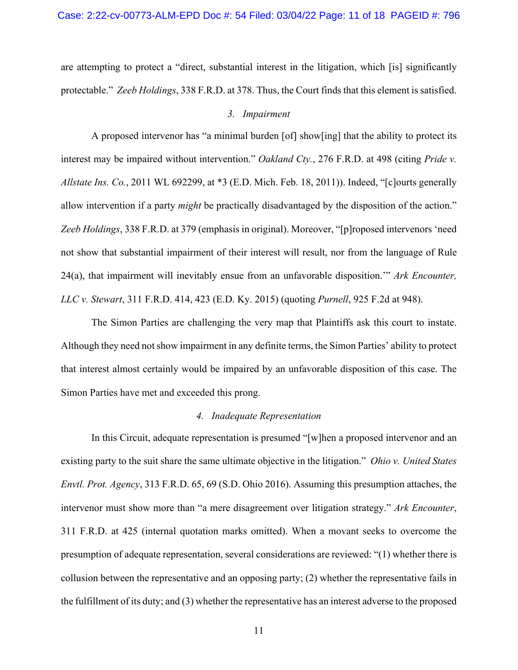are attempting to protect a "direct, substantial interest in the litigation, which [is] significantly protectable." *Zeeb Holdings*, 338 F.R.D. at 378. Thus, the Court finds that this element is satisfied.

### *3. Impairment*

A proposed intervenor has "a minimal burden [of] show[ing] that the ability to protect its interest may be impaired without intervention." *Oakland Cty.*, 276 F.R.D. at 498 (citing *Pride v. Allstate Ins. Co.*, 2011 WL 692299, at \*3 (E.D. Mich. Feb. 18, 2011)). Indeed, "[c]ourts generally allow intervention if a party *might* be practically disadvantaged by the disposition of the action." *Zeeb Holdings*, 338 F.R.D. at 379 (emphasis in original). Moreover, "[p]roposed intervenors 'need not show that substantial impairment of their interest will result, nor from the language of Rule 24(a), that impairment will inevitably ensue from an unfavorable disposition.'" *Ark Encounter, LLC v. Stewart*, 311 F.R.D. 414, 423 (E.D. Ky. 2015) (quoting *Purnell*, 925 F.2d at 948).

The Simon Parties are challenging the very map that Plaintiffs ask this court to instate. Although they need not show impairment in any definite terms, the Simon Parties' ability to protect that interest almost certainly would be impaired by an unfavorable disposition of this case. The Simon Parties have met and exceeded this prong.

### *4. Inadequate Representation*

In this Circuit, adequate representation is presumed "[w]hen a proposed intervenor and an existing party to the suit share the same ultimate objective in the litigation." *Ohio v. United States Envtl. Prot. Agency*, 313 F.R.D. 65, 69 (S.D. Ohio 2016). Assuming this presumption attaches, the intervenor must show more than "a mere disagreement over litigation strategy." *Ark Encounter*, 311 F.R.D. at 425 (internal quotation marks omitted). When a movant seeks to overcome the presumption of adequate representation, several considerations are reviewed: "(1) whether there is collusion between the representative and an opposing party; (2) whether the representative fails in the fulfillment of its duty; and (3) whether the representative has an interest adverse to the proposed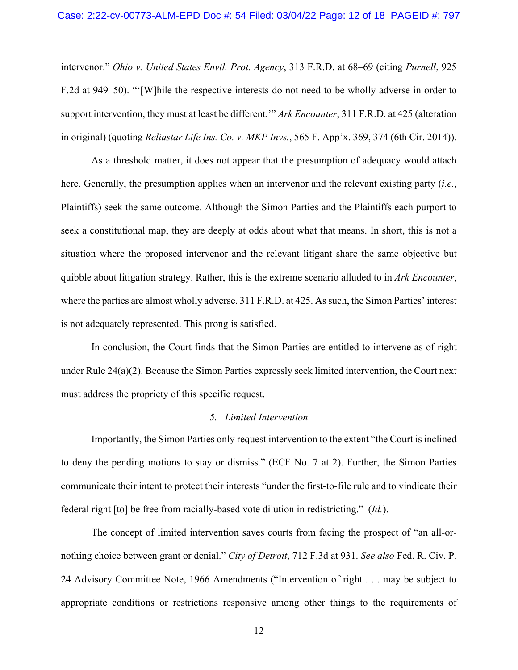#### Case: 2:22-cv-00773-ALM-EPD Doc #: 54 Filed: 03/04/22 Page: 12 of 18 PAGEID #: 797

intervenor." *Ohio v. United States Envtl. Prot. Agency*, 313 F.R.D. at 68–69 (citing *Purnell*, 925 F.2d at 949–50). "'[W]hile the respective interests do not need to be wholly adverse in order to support intervention, they must at least be different.'" *Ark Encounter*, 311 F.R.D. at 425 (alteration in original) (quoting *Reliastar Life Ins. Co. v. MKP Invs.*, 565 F. App'x. 369, 374 (6th Cir. 2014)).

As a threshold matter, it does not appear that the presumption of adequacy would attach here. Generally, the presumption applies when an intervenor and the relevant existing party (*i.e.*, Plaintiffs) seek the same outcome. Although the Simon Parties and the Plaintiffs each purport to seek a constitutional map, they are deeply at odds about what that means. In short, this is not a situation where the proposed intervenor and the relevant litigant share the same objective but quibble about litigation strategy. Rather, this is the extreme scenario alluded to in *Ark Encounter*, where the parties are almost wholly adverse. 311 F.R.D. at 425. As such, the Simon Parties' interest is not adequately represented. This prong is satisfied.

In conclusion, the Court finds that the Simon Parties are entitled to intervene as of right under Rule 24(a)(2). Because the Simon Parties expressly seek limited intervention, the Court next must address the propriety of this specific request.

### *5. Limited Intervention*

Importantly, the Simon Parties only request intervention to the extent "the Court is inclined to deny the pending motions to stay or dismiss." (ECF No. 7 at 2). Further, the Simon Parties communicate their intent to protect their interests "under the first-to-file rule and to vindicate their federal right [to] be free from racially-based vote dilution in redistricting." (*Id.*).

The concept of limited intervention saves courts from facing the prospect of "an all-ornothing choice between grant or denial." *City of Detroit*, 712 F.3d at 931. *See also* Fed. R. Civ. P. 24 Advisory Committee Note, 1966 Amendments ("Intervention of right . . . may be subject to appropriate conditions or restrictions responsive among other things to the requirements of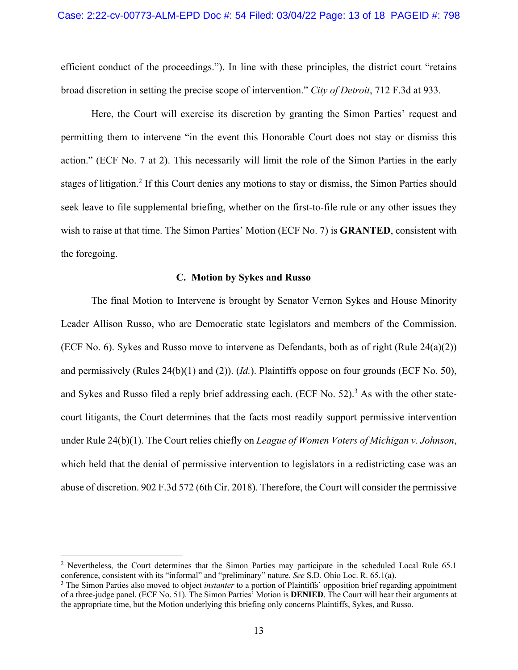efficient conduct of the proceedings."). In line with these principles, the district court "retains broad discretion in setting the precise scope of intervention." *City of Detroit*, 712 F.3d at 933.

Here, the Court will exercise its discretion by granting the Simon Parties' request and permitting them to intervene "in the event this Honorable Court does not stay or dismiss this action." (ECF No. 7 at 2). This necessarily will limit the role of the Simon Parties in the early stages of litigation.<sup>2</sup> If this Court denies any motions to stay or dismiss, the Simon Parties should seek leave to file supplemental briefing, whether on the first-to-file rule or any other issues they wish to raise at that time. The Simon Parties' Motion (ECF No. 7) is **GRANTED**, consistent with the foregoing.

### **C. Motion by Sykes and Russo**

The final Motion to Intervene is brought by Senator Vernon Sykes and House Minority Leader Allison Russo, who are Democratic state legislators and members of the Commission. (ECF No. 6). Sykes and Russo move to intervene as Defendants, both as of right (Rule  $24(a)(2)$ ) and permissively (Rules 24(b)(1) and (2)). (*Id.*). Plaintiffs oppose on four grounds (ECF No. 50), and Sykes and Russo filed a reply brief addressing each. (ECF No. 52).<sup>3</sup> As with the other statecourt litigants, the Court determines that the facts most readily support permissive intervention under Rule 24(b)(1). The Court relies chiefly on *League of Women Voters of Michigan v. Johnson*, which held that the denial of permissive intervention to legislators in a redistricting case was an abuse of discretion. 902 F.3d 572 (6th Cir. 2018). Therefore, the Court will consider the permissive

<sup>&</sup>lt;sup>2</sup> Nevertheless, the Court determines that the Simon Parties may participate in the scheduled Local Rule 65.1 conference, consistent with its "informal" and "preliminary" nature. *See* S.D. Ohio Loc. R. 65.1(a).

<sup>&</sup>lt;sup>3</sup> The Simon Parties also moved to object *instanter* to a portion of Plaintiffs' opposition brief regarding appointment of a three-judge panel. (ECF No. 51). The Simon Parties' Motion is **DENIED**. The Court will hear their arguments at the appropriate time, but the Motion underlying this briefing only concerns Plaintiffs, Sykes, and Russo.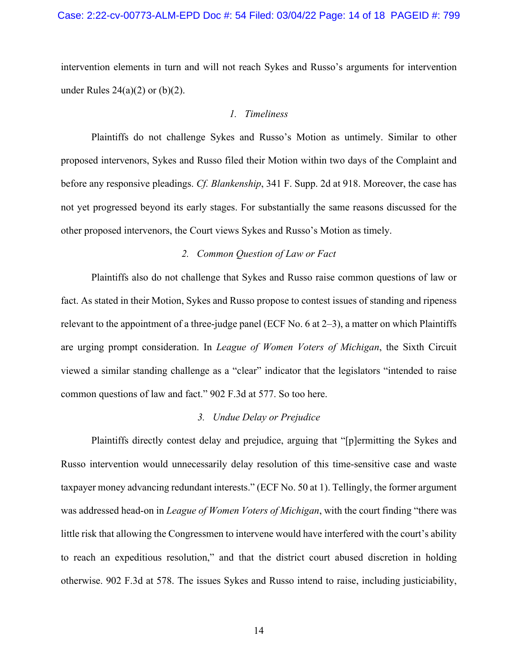### Case: 2:22-cv-00773-ALM-EPD Doc #: 54 Filed: 03/04/22 Page: 14 of 18 PAGEID #: 799

intervention elements in turn and will not reach Sykes and Russo's arguments for intervention under Rules  $24(a)(2)$  or  $(b)(2)$ .

### *1. Timeliness*

Plaintiffs do not challenge Sykes and Russo's Motion as untimely. Similar to other proposed intervenors, Sykes and Russo filed their Motion within two days of the Complaint and before any responsive pleadings. *Cf. Blankenship*, 341 F. Supp. 2d at 918. Moreover, the case has not yet progressed beyond its early stages. For substantially the same reasons discussed for the other proposed intervenors, the Court views Sykes and Russo's Motion as timely.

## *2. Common Question of Law or Fact*

Plaintiffs also do not challenge that Sykes and Russo raise common questions of law or fact. As stated in their Motion, Sykes and Russo propose to contest issues of standing and ripeness relevant to the appointment of a three-judge panel (ECF No. 6 at 2–3), a matter on which Plaintiffs are urging prompt consideration. In *League of Women Voters of Michigan*, the Sixth Circuit viewed a similar standing challenge as a "clear" indicator that the legislators "intended to raise common questions of law and fact." 902 F.3d at 577. So too here.

#### *3. Undue Delay or Prejudice*

Plaintiffs directly contest delay and prejudice, arguing that "[p]ermitting the Sykes and Russo intervention would unnecessarily delay resolution of this time-sensitive case and waste taxpayer money advancing redundant interests." (ECF No. 50 at 1). Tellingly, the former argument was addressed head-on in *League of Women Voters of Michigan*, with the court finding "there was little risk that allowing the Congressmen to intervene would have interfered with the court's ability to reach an expeditious resolution," and that the district court abused discretion in holding otherwise. 902 F.3d at 578. The issues Sykes and Russo intend to raise, including justiciability,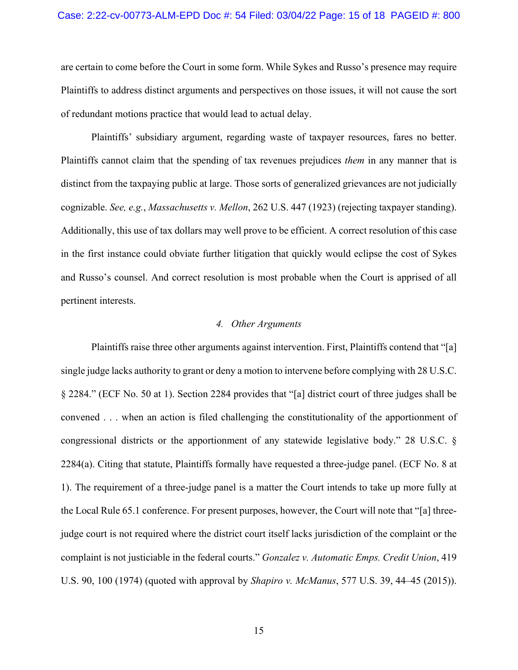#### Case: 2:22-cv-00773-ALM-EPD Doc #: 54 Filed: 03/04/22 Page: 15 of 18 PAGEID #: 800

are certain to come before the Court in some form. While Sykes and Russo's presence may require Plaintiffs to address distinct arguments and perspectives on those issues, it will not cause the sort of redundant motions practice that would lead to actual delay.

Plaintiffs' subsidiary argument, regarding waste of taxpayer resources, fares no better. Plaintiffs cannot claim that the spending of tax revenues prejudices *them* in any manner that is distinct from the taxpaying public at large. Those sorts of generalized grievances are not judicially cognizable. *See, e.g.*, *Massachusetts v. Mellon*, 262 U.S. 447 (1923) (rejecting taxpayer standing). Additionally, this use of tax dollars may well prove to be efficient. A correct resolution of this case in the first instance could obviate further litigation that quickly would eclipse the cost of Sykes and Russo's counsel. And correct resolution is most probable when the Court is apprised of all pertinent interests.

### *4. Other Arguments*

Plaintiffs raise three other arguments against intervention. First, Plaintiffs contend that "[a] single judge lacks authority to grant or deny a motion to intervene before complying with 28 U.S.C. § 2284." (ECF No. 50 at 1). Section 2284 provides that "[a] district court of three judges shall be convened . . . when an action is filed challenging the constitutionality of the apportionment of congressional districts or the apportionment of any statewide legislative body." 28 U.S.C. § 2284(a). Citing that statute, Plaintiffs formally have requested a three-judge panel. (ECF No. 8 at 1). The requirement of a three-judge panel is a matter the Court intends to take up more fully at the Local Rule 65.1 conference. For present purposes, however, the Court will note that "[a] threejudge court is not required where the district court itself lacks jurisdiction of the complaint or the complaint is not justiciable in the federal courts." *Gonzalez v. Automatic Emps. Credit Union*, 419 U.S. 90, 100 (1974) (quoted with approval by *Shapiro v. McManus*, 577 U.S. 39, 44–45 (2015)).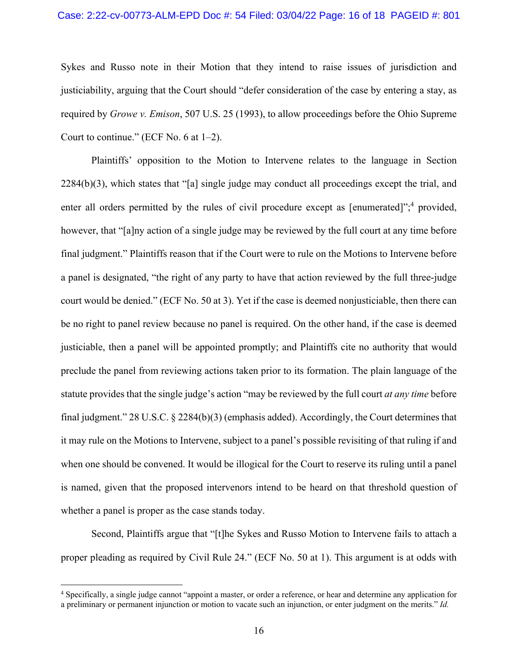### Case: 2:22-cv-00773-ALM-EPD Doc #: 54 Filed: 03/04/22 Page: 16 of 18 PAGEID #: 801

Sykes and Russo note in their Motion that they intend to raise issues of jurisdiction and justiciability, arguing that the Court should "defer consideration of the case by entering a stay, as required by *Growe v. Emison*, 507 U.S. 25 (1993), to allow proceedings before the Ohio Supreme Court to continue." (ECF No. 6 at 1–2).

Plaintiffs' opposition to the Motion to Intervene relates to the language in Section 2284(b)(3), which states that "[a] single judge may conduct all proceedings except the trial, and enter all orders permitted by the rules of civil procedure except as [enumerated]";<sup>4</sup> provided, however, that "[a]ny action of a single judge may be reviewed by the full court at any time before final judgment." Plaintiffs reason that if the Court were to rule on the Motions to Intervene before a panel is designated, "the right of any party to have that action reviewed by the full three-judge court would be denied." (ECF No. 50 at 3). Yet if the case is deemed nonjusticiable, then there can be no right to panel review because no panel is required. On the other hand, if the case is deemed justiciable, then a panel will be appointed promptly; and Plaintiffs cite no authority that would preclude the panel from reviewing actions taken prior to its formation. The plain language of the statute provides that the single judge's action "may be reviewed by the full court *at any time* before final judgment." 28 U.S.C. § 2284(b)(3) (emphasis added). Accordingly, the Court determines that it may rule on the Motions to Intervene, subject to a panel's possible revisiting of that ruling if and when one should be convened. It would be illogical for the Court to reserve its ruling until a panel is named, given that the proposed intervenors intend to be heard on that threshold question of whether a panel is proper as the case stands today.

Second, Plaintiffs argue that "[t]he Sykes and Russo Motion to Intervene fails to attach a proper pleading as required by Civil Rule 24." (ECF No. 50 at 1). This argument is at odds with

<sup>4</sup> Specifically, a single judge cannot "appoint a master, or order a reference, or hear and determine any application for a preliminary or permanent injunction or motion to vacate such an injunction, or enter judgment on the merits." *Id.*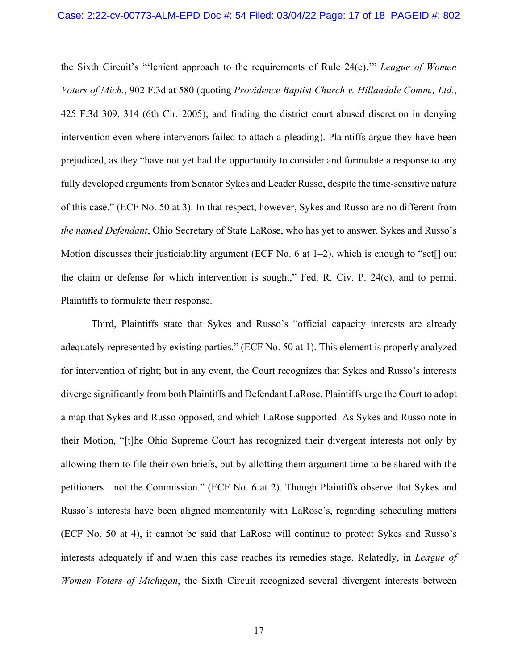the Sixth Circuit's "'lenient approach to the requirements of Rule 24(c).'" *League of Women Voters of Mich.*, 902 F.3d at 580 (quoting *Providence Baptist Church v. Hillandale Comm., Ltd.*, 425 F.3d 309, 314 (6th Cir. 2005); and finding the district court abused discretion in denying intervention even where intervenors failed to attach a pleading). Plaintiffs argue they have been prejudiced, as they "have not yet had the opportunity to consider and formulate a response to any fully developed arguments from Senator Sykes and Leader Russo, despite the time-sensitive nature of this case." (ECF No. 50 at 3). In that respect, however, Sykes and Russo are no different from *the named Defendant*, Ohio Secretary of State LaRose, who has yet to answer. Sykes and Russo's Motion discusses their justiciability argument (ECF No. 6 at  $1-2$ ), which is enough to "set[] out the claim or defense for which intervention is sought," Fed. R. Civ. P. 24(c), and to permit Plaintiffs to formulate their response.

Third, Plaintiffs state that Sykes and Russo's "official capacity interests are already adequately represented by existing parties." (ECF No. 50 at 1). This element is properly analyzed for intervention of right; but in any event, the Court recognizes that Sykes and Russo's interests diverge significantly from both Plaintiffs and Defendant LaRose. Plaintiffs urge the Court to adopt a map that Sykes and Russo opposed, and which LaRose supported. As Sykes and Russo note in their Motion, "[t]he Ohio Supreme Court has recognized their divergent interests not only by allowing them to file their own briefs, but by allotting them argument time to be shared with the petitioners—not the Commission." (ECF No. 6 at 2). Though Plaintiffs observe that Sykes and Russo's interests have been aligned momentarily with LaRose's, regarding scheduling matters (ECF No. 50 at 4), it cannot be said that LaRose will continue to protect Sykes and Russo's interests adequately if and when this case reaches its remedies stage. Relatedly, in *League of Women Voters of Michigan*, the Sixth Circuit recognized several divergent interests between